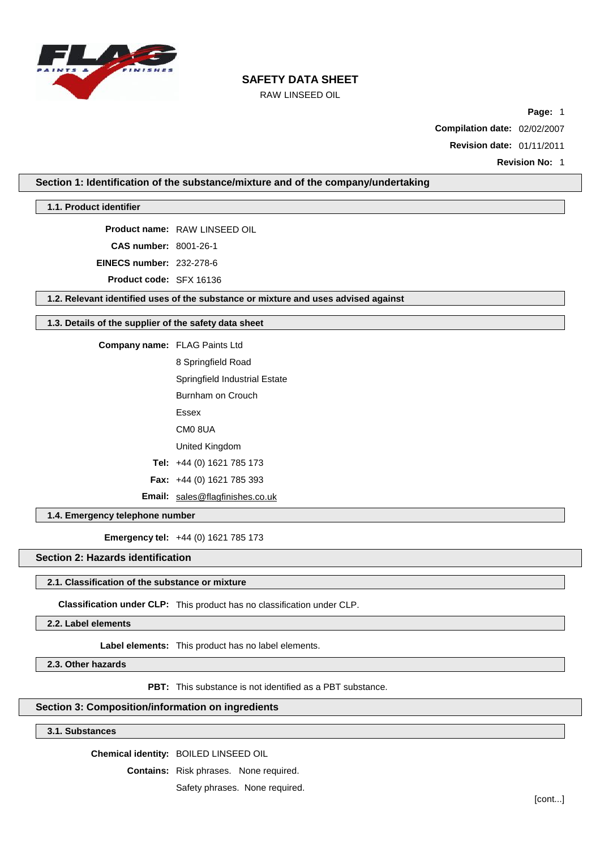

# RAW LINSEED OIL

**Page:** 1

**Compilation date:** 02/02/2007

**Revision date:** 01/11/2011

**Revision No:** 1

**Section 1: Identification of the substance/mixture and of the company/undertaking**

### **1.1. Product identifier**

**Product name:** RAW LINSEED OIL

**CAS number:** 8001-26-1

**EINECS number:** 232-278-6

**Product code:** SFX 16136

**1.2. Relevant identified uses of the substance or mixture and uses advised against**

#### **1.3. Details of the supplier of the safety data sheet**

**Company name:** FLAG Paints Ltd

8 Springfield Road

Springfield Industrial Estate

Burnham on Crouch

- Essex
- CM0 8UA

United Kingdom

- **Tel:** +44 (0) 1621 785 173
- **Fax:** +44 (0) 1621 785 393

**Email:** [sales@flagfinishes.co.uk](mailto:sales@flagfinishes.co.uk)

## **1.4. Emergency telephone number**

**Emergency tel:** +44 (0) 1621 785 173

# **Section 2: Hazards identification**

#### **2.1. Classification of the substance or mixture**

**Classification under CLP:** This product has no classification under CLP.

**2.2. Label elements**

**Label elements:** This product has no label elements.

**2.3. Other hazards**

**PBT:** This substance is not identified as a PBT substance.

# **Section 3: Composition/information on ingredients**

# **3.1. Substances**

**Chemical identity:** BOILED LINSEED OIL

**Contains:** Risk phrases. None required.

Safety phrases. None required.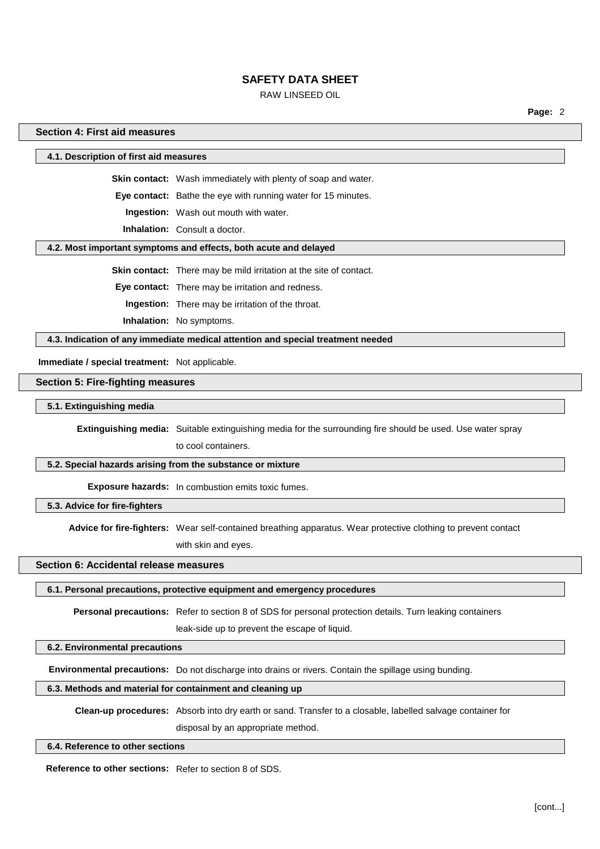# RAW LINSEED OIL

**Page:** 2

### **Section 4: First aid measures**

**4.1. Description of first aid measures**

**Skin contact:** Wash immediately with plenty of soap and water.

**Eye contact:** Bathe the eye with running water for 15 minutes.

**Ingestion:** Wash out mouth with water.

**Inhalation:** Consult a doctor.

#### **4.2. Most important symptoms and effects, both acute and delayed**

**Skin contact:** There may be mild irritation at the site of contact.

**Eye contact:** There may be irritation and redness.

**Ingestion:** There may be irritation of the throat.

**Inhalation:** No symptoms.

**4.3. Indication of any immediate medical attention and special treatment needed**

**Immediate / special treatment:** Not applicable.

### **Section 5: Fire-fighting measures**

**5.1. Extinguishing media**

**Extinguishing media:** Suitable extinguishing media for the surrounding fire should be used. Use water spray

to cool containers.

### **5.2. Special hazards arising from the substance or mixture**

**Exposure hazards:** In combustion emits toxic fumes.

**5.3. Advice for fire-fighters**

**Advice for fire-fighters:** Wear self-contained breathing apparatus. Wear protective clothing to prevent contact with skin and eyes.

#### **Section 6: Accidental release measures**

### **6.1. Personal precautions, protective equipment and emergency procedures**

**Personal precautions:** Refer to section 8 of SDS for personal protection details. Turn leaking containers

leak-side up to prevent the escape of liquid.

#### **6.2. Environmental precautions**

**Environmental precautions:** Do not discharge into drains or rivers. Contain the spillage using bunding.

# **6.3. Methods and material for containment and cleaning up**

**Clean-up procedures:** Absorb into dry earth or sand. Transfer to a closable, labelled salvage container for

disposal by an appropriate method.

### **6.4. Reference to other sections**

**Reference to other sections:** Refer to section 8 of SDS.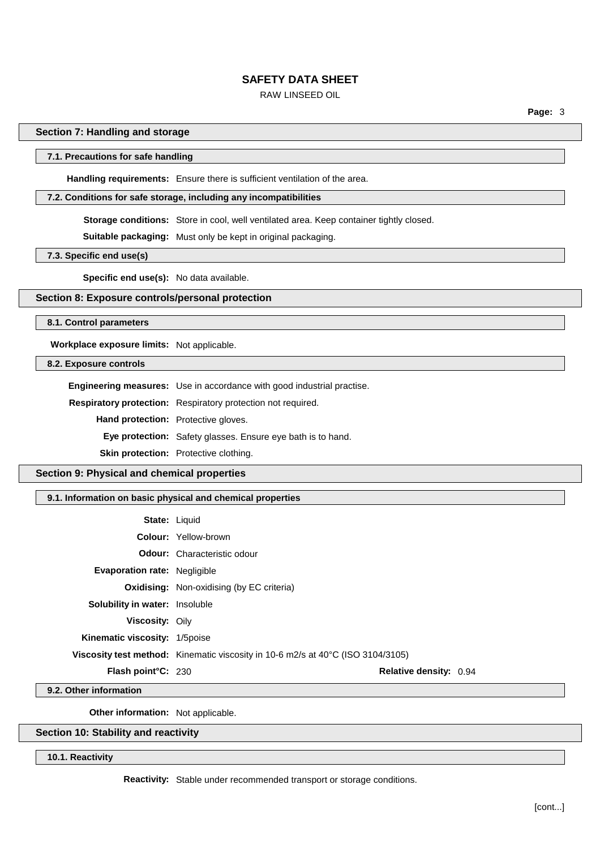# RAW LINSEED OIL

**Page:** 3

#### **Section 7: Handling and storage**

### **7.1. Precautions for safe handling**

**Handling requirements:** Ensure there is sufficient ventilation of the area.

#### **7.2. Conditions for safe storage, including any incompatibilities**

**Storage conditions:** Store in cool, well ventilated area. Keep container tightly closed.

**Suitable packaging:** Must only be kept in original packaging.

**7.3. Specific end use(s)**

**Specific end use(s):** No data available.

# **Section 8: Exposure controls/personal protection**

**8.1. Control parameters**

**Workplace exposure limits:** Not applicable.

### **8.2. Exposure controls**

**Engineering measures:** Use in accordance with good industrial practise. **Respiratory protection:** Respiratory protection not required. **Hand protection:** Protective gloves. **Eye protection:** Safety glasses. Ensure eye bath is to hand.

**Skin protection:** Protective clothing.

## **Section 9: Physical and chemical properties**

#### **9.1. Information on basic physical and chemical properties**

| <b>State: Liquid</b>                  |                                                                                                  |                               |
|---------------------------------------|--------------------------------------------------------------------------------------------------|-------------------------------|
|                                       | <b>Colour: Yellow-brown</b>                                                                      |                               |
|                                       | <b>Odour:</b> Characteristic odour                                                               |                               |
| <b>Evaporation rate: Negligible</b>   |                                                                                                  |                               |
|                                       | <b>Oxidising:</b> Non-oxidising (by EC criteria)                                                 |                               |
| <b>Solubility in water:</b> Insoluble |                                                                                                  |                               |
| <b>Viscosity: Oily</b>                |                                                                                                  |                               |
| Kinematic viscosity: 1/5 poise        |                                                                                                  |                               |
|                                       | <b>Viscosity test method:</b> Kinematic viscosity in 10-6 m2/s at 40 $\degree$ C (ISO 3104/3105) |                               |
| <b>Flash point C: 230</b>             |                                                                                                  | <b>Relative density: 0.94</b> |

**9.2. Other information**

**Other information:** Not applicable.

# **Section 10: Stability and reactivity**

**10.1. Reactivity**

**Reactivity:** Stable under recommended transport or storage conditions.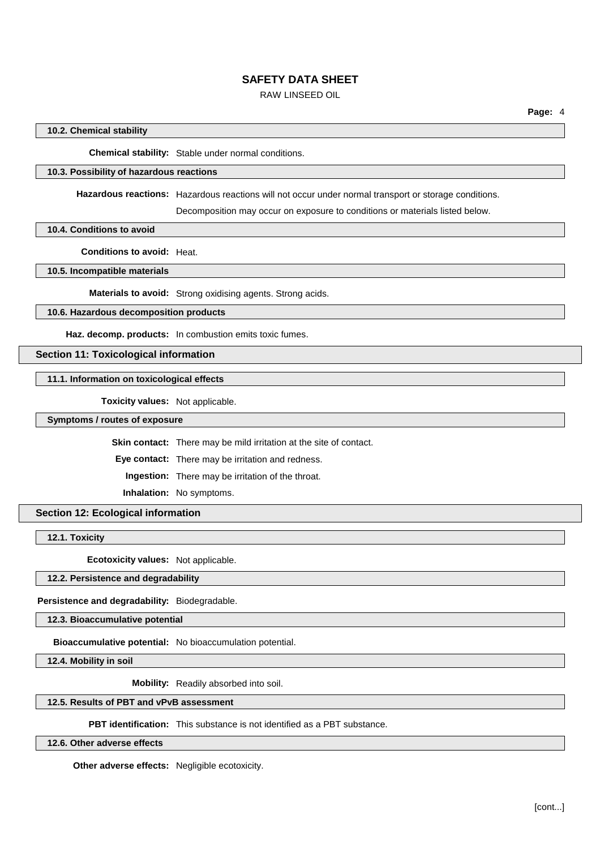# RAW LINSEED OIL

## **10.2. Chemical stability**

**Chemical stability:** Stable under normal conditions.

#### **10.3. Possibility of hazardous reactions**

**Hazardous reactions:** Hazardous reactions will not occur under normal transport or storage conditions.

Decomposition may occur on exposure to conditions or materials listed below.

**10.4. Conditions to avoid**

**Conditions to avoid:** Heat.

**10.5. Incompatible materials**

**Materials to avoid:** Strong oxidising agents. Strong acids.

# **10.6. Hazardous decomposition products**

**Haz. decomp. products:** In combustion emits toxic fumes.

# **Section 11: Toxicological information**

### **11.1. Information on toxicological effects**

**Toxicity values:** Not applicable.

**Symptoms / routes of exposure**

**Skin contact:** There may be mild irritation at the site of contact.

**Eye contact:** There may be irritation and redness.

**Ingestion:** There may be irritation of the throat.

**Inhalation:** No symptoms.

## **Section 12: Ecological information**

**12.1. Toxicity**

**Ecotoxicity values:** Not applicable.

### **12.2. Persistence and degradability**

**Persistence and degradability:** Biodegradable.

**12.3. Bioaccumulative potential**

**Bioaccumulative potential:** No bioaccumulation potential.

**12.4. Mobility in soil**

**Mobility:** Readily absorbed into soil.

### **12.5. Results of PBT and vPvB assessment**

**PBT identification:** This substance is not identified as a PBT substance.

## **12.6. Other adverse effects**

**Other adverse effects:** Negligible ecotoxicity.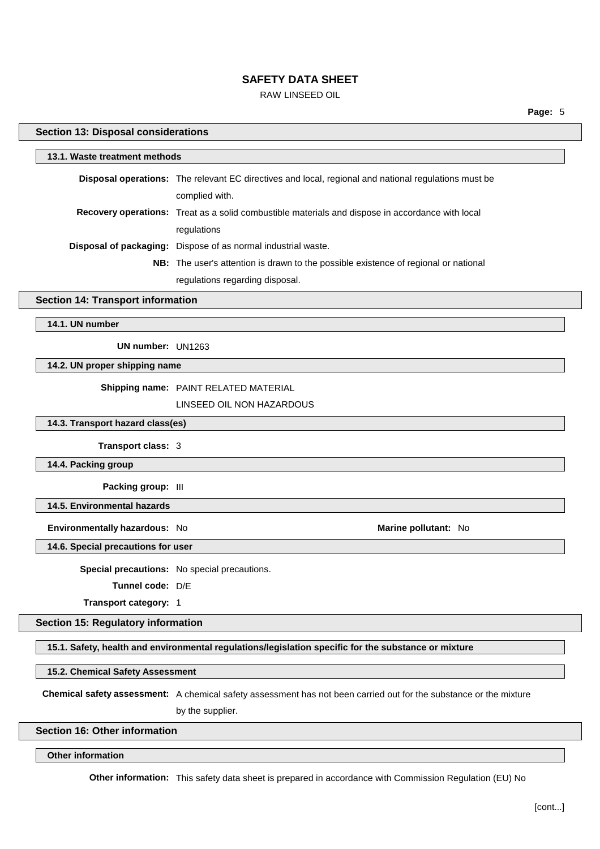# RAW LINSEED OIL

**Page:** 5

#### **Section 13: Disposal considerations**

| 13.1. Waste treatment methods |                                                                                                             |  |
|-------------------------------|-------------------------------------------------------------------------------------------------------------|--|
|                               | <b>Disposal operations:</b> The relevant EC directives and local, regional and national regulations must be |  |
|                               | complied with.                                                                                              |  |
|                               | <b>Recovery operations:</b> Treat as a solid combustible materials and dispose in accordance with local     |  |
|                               | regulations                                                                                                 |  |
|                               | <b>Disposal of packaging:</b> Dispose of as normal industrial waste.                                        |  |
|                               | <b>NB:</b> The user's attention is drawn to the possible existence of regional or national                  |  |
|                               | regulations regarding disposal.                                                                             |  |

#### **Section 14: Transport information**

**14.1. UN number**

**UN number:** UN1263

**14.2. UN proper shipping name**

## **Shipping name:** PAINT RELATED MATERIAL

## LINSEED OIL NON HAZARDOUS

**14.3. Transport hazard class(es)**

**Transport class:** 3

**14.4. Packing group**

**Packing group:** III

**14.5. Environmental hazards**

**Environmentally hazardous:** No **Marine pollutant:** No

**14.6. Special precautions for user**

**Special precautions:** No special precautions.

**Tunnel code:** D/E

**Transport category:** 1

#### **Section 15: Regulatory information**

**15.1. Safety, health and environmental regulations/legislation specific for the substance or mixture**

#### **15.2. Chemical Safety Assessment**

**Chemical safety assessment:** A chemical safety assessment has not been carried out for the substance or the mixture

by the supplier.

### **Section 16: Other information**

**Other information**

**Other information:** This safety data sheet is prepared in accordance with Commission Regulation (EU) No